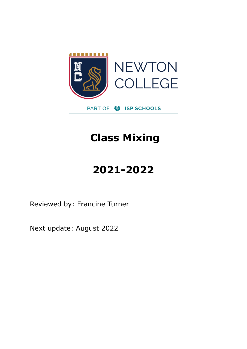

## **Class Mixing**

# **2021-2022**

Reviewed by: Francine Turner

Next update: August 2022